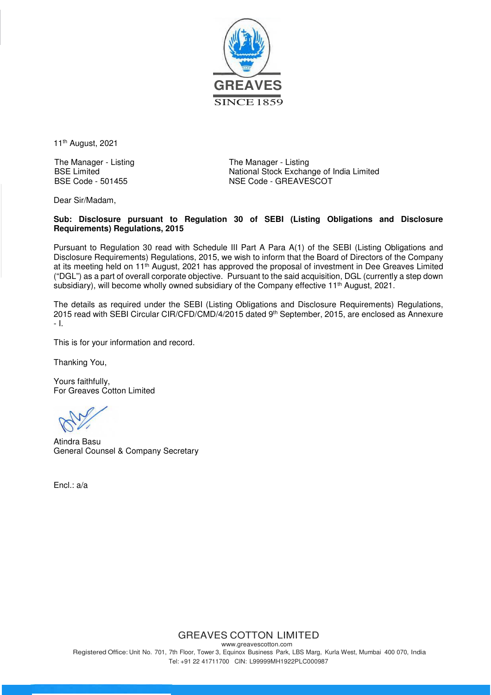

11th August, 2021

The Manager - Listing BSE Limited BSE Code - 501455

The Manager - Listing National Stock Exchange of India Limited NSE Code - GREAVESCOT

Dear Sir/Madam,

## **Sub: Disclosure pursuant to Regulation 30 of SEBI (Listing Obligations and Disclosure Requirements) Regulations, 2015**

Pursuant to Regulation 30 read with Schedule III Part A Para A(1) of the SEBI (Listing Obligations and Disclosure Requirements) Regulations, 2015, we wish to inform that the Board of Directors of the Company at its meeting held on 11<sup>th</sup> August, 2021 has approved the proposal of investment in Dee Greaves Limited ("DGL") as a part of overall corporate objective. Pursuant to the said acquisition, DGL (currently a step down subsidiary), will become wholly owned subsidiary of the Company effective 11<sup>th</sup> August, 2021.

The details as required under the SEBI (Listing Obligations and Disclosure Requirements) Regulations, 2015 read with SEBI Circular CIR/CFD/CMD/4/2015 dated 9th September, 2015, are enclosed as Annexure - I.

This is for your information and record.

Thanking You,

Yours faithfully, For Greaves Cotton Limited

Atindra Basu General Counsel & Company Secretary

Encl.: a/a

GREAVES COTTON LIMITED

www.greavescotton.com Registered Office: Unit No. 701, 7th Floor, Tower 3, Equinox Business Park, LBS Marg, Kurla West, Mumbai 400 070, India Tel: +91 22 41711700 CIN: L99999MH1922PLC000987